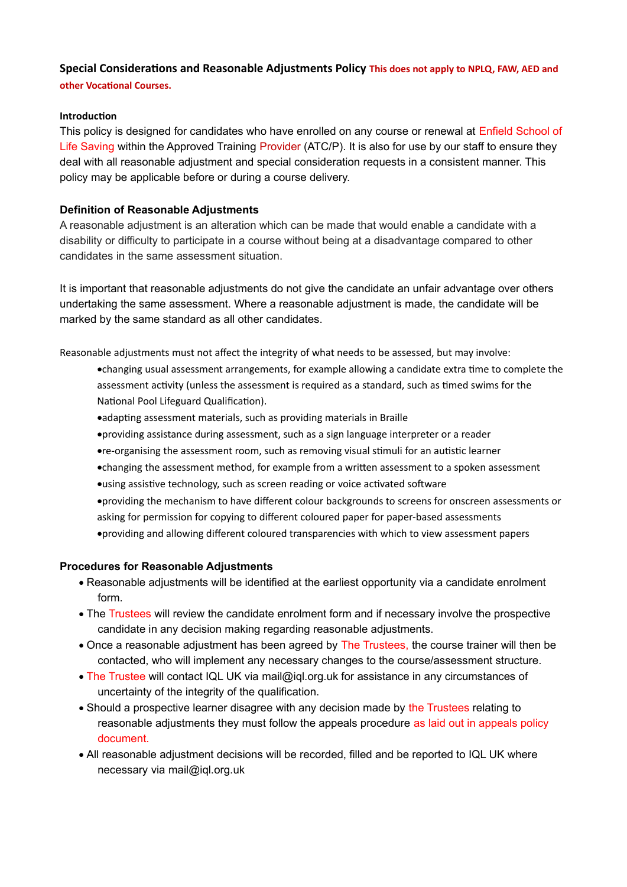# **Special Considerations and Reasonable Adjustments Policy This does not apply to NPLQ, FAW, AED and other Vocational Courses.**

#### **Introduction**

This policy is designed for candidates who have enrolled on any course or renewal at Enfield School of Life Saving within the Approved Training Provider (ATC/P). It is also for use by our staff to ensure they deal with all reasonable adjustment and special consideration requests in a consistent manner. This policy may be applicable before or during a course delivery.

### **Definition of Reasonable Adjustments**

A reasonable adjustment is an alteration which can be made that would enable a candidate with a disability or difficulty to participate in a course without being at a disadvantage compared to other candidates in the same assessment situation.

It is important that reasonable adjustments do not give the candidate an unfair advantage over others undertaking the same assessment. Where a reasonable adjustment is made, the candidate will be marked by the same standard as all other candidates.

Reasonable adjustments must not affect the integrity of what needs to be assessed, but may involve:

- changing usual assessment arrangements, for example allowing a candidate extra time to complete the assessment activity (unless the assessment is required as a standard, such as timed swims for the National Pool Lifeguard Qualification).
- adapting assessment materials, such as providing materials in Braille
- providing assistance during assessment, such as a sign language interpreter or a reader
- re-organising the assessment room, such as removing visual stimuli for an autistic learner
- changing the assessment method, for example from a written assessment to a spoken assessment
- using assistive technology, such as screen reading or voice activated software
- providing the mechanism to have different colour backgrounds to screens for onscreen assessments or asking for permission for copying to different coloured paper for paper-based assessments
- providing and allowing different coloured transparencies with which to view assessment papers

### **Procedures for Reasonable Adjustments**

- · Reasonable adjustments will be identified at the earliest opportunity via a candidate enrolment form.
- The Trustees will review the candidate enrolment form and if necessary involve the prospective candidate in any decision making regarding reasonable adjustments.
- · Once a reasonable adjustment has been agreed by The Trustees, the course trainer will then be contacted, who will implement any necessary changes to the course/assessment structure.
- · The Trustee will contact IQL UK via [mail@iql.org.uk](mailto:mail@iql.org.uk) for assistance in any circumstances of uncertainty of the integrity of the qualification.
- Should a prospective learner disagree with any decision made by the Trustees relating to reasonable adjustments they must follow the appeals procedure as laid out in appeals policy document.
- · All reasonable adjustment decisions will be recorded, filled and be reported to IQL UK where necessary via [mail@iql.org.uk](mailto:mail@iql.org.uk)